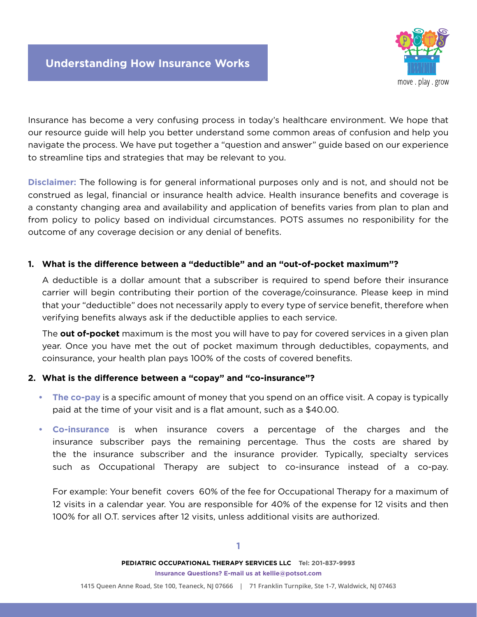

Insurance has become a very confusing process in today's healthcare environment. We hope that our resource guide will help you better understand some common areas of confusion and help you navigate the process. We have put together a "question and answer" guide based on our experience to streamline tips and strategies that may be relevant to you.

**Disclaimer:** The following is for general informational purposes only and is not, and should not be construed as legal, financial or insurance health advice. Health insurance benefits and coverage is a constanty changing area and availability and application of benefits varies from plan to plan and from policy to policy based on individual circumstances. POTS assumes no responibility for the outcome of any coverage decision or any denial of benefits.

## **1. What is the difference between a "deductible" and an "out-of-pocket maximum"?**

A deductible is a dollar amount that a subscriber is required to spend before their insurance carrier will begin contributing their portion of the coverage/coinsurance. Please keep in mind that your "deductible" does not necessarily apply to every type of service benefit, therefore when verifying benefits always ask if the deductible applies to each service.

The **out of-pocket** maximum is the most you will have to pay for covered services in a given plan year. Once you have met the out of pocket maximum through deductibles, copayments, and coinsurance, your health plan pays 100% of the costs of covered benefits.

## **2. What is the difference between a "copay" and "co-insurance"?**

- **• The co-pay** is a specific amount of money that you spend on an office visit. A copay is typically paid at the time of your visit and is a flat amount, such as a \$40.00.
- **• Co-insurance** is when insurance covers a percentage of the charges and the insurance subscriber pays the remaining percentage. Thus the costs are shared by the the insurance subscriber and the insurance provider. Typically, specialty services such as Occupational Therapy are subject to co-insurance instead of a co-pay.

For example: Your benefit covers 60% of the fee for Occupational Therapy for a maximum of 12 visits in a calendar year. You are responsible for 40% of the expense for 12 visits and then 100% for all O.T. services after 12 visits, unless additional visits are authorized.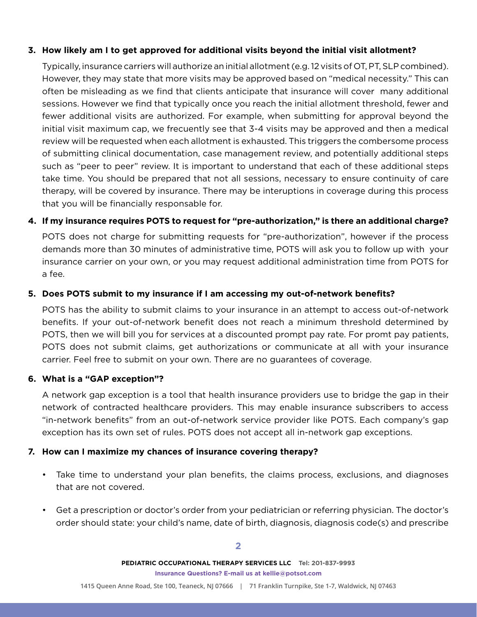## **3. How likely am I to get approved for additional visits beyond the initial visit allotment?**

Typically, insurance carriers will authorize an initial allotment (e.g. 12 visits of OT, PT, SLP combined). However, they may state that more visits may be approved based on "medical necessity." This can often be misleading as we find that clients anticipate that insurance will cover many additional sessions. However we find that typically once you reach the initial allotment threshold, fewer and fewer additional visits are authorized. For example, when submitting for approval beyond the initial visit maximum cap, we frecuently see that 3-4 visits may be approved and then a medical review will be requested when each allotment is exhausted. This triggers the combersome process of submitting clinical documentation, case management review, and potentially additional steps such as "peer to peer" review. It is important to understand that each of these additional steps take time. You should be prepared that not all sessions, necessary to ensure continuity of care therapy, will be covered by insurance. There may be interuptions in coverage during this process that you will be financially responsable for.

## **4. If my insurance requires POTS to request for "pre-authorization," is there an additional charge?**

POTS does not charge for submitting requests for "pre-authorization", however if the process demands more than 30 minutes of administrative time, POTS will ask you to follow up with your insurance carrier on your own, or you may request additional administration time from POTS for a fee.

## **5. Does POTS submit to my insurance if I am accessing my out-of-network benefits?**

POTS has the ability to submit claims to your insurance in an attempt to access out-of-network benefits. If your out-of-network benefit does not reach a minimum threshold determined by POTS, then we will bill you for services at a discounted prompt pay rate. For promt pay patients, POTS does not submit claims, get authorizations or communicate at all with your insurance carrier. Feel free to submit on your own. There are no guarantees of coverage.

## **6. What is a "GAP exception"?**

A network gap exception is a tool that health insurance providers use to bridge the gap in their network of contracted healthcare providers. This may enable insurance subscribers to access "in-network benefits" from an out-of-network service provider like POTS. Each company's gap exception has its own set of rules. POTS does not accept all in-network gap exceptions.

## **7. How can I maximize my chances of insurance covering therapy?**

- Take time to understand your plan benefits, the claims process, exclusions, and diagnoses that are not covered.
- Get a prescription or doctor's order from your pediatrician or referring physician. The doctor's order should state: your child's name, date of birth, diagnosis, diagnosis code(s) and prescribe

**PEDIATRIC OCCUPATIONAL THERAPY SERVICES LLC Tel: 201-837-9993 Insurance Questions? E-mail us at kellie@potsot.com**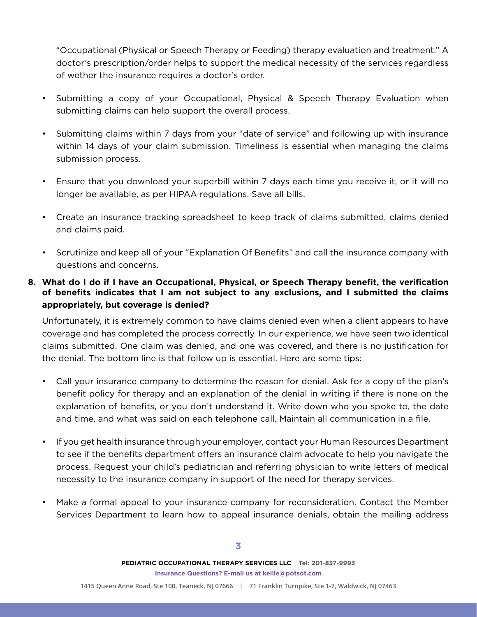"Occupational (Physical or Speech Therapy or Feeding) therapy evaluation and treatment." A doctor's prescription/order helps to support the medical necessity of the services regardless of wether the insurance requires a doctor's order.

- Submitting a copy of your Occupational, Physical & Speech Therapy Evaluation when submitting claims can help support the overall process.
- Submitting claims within 7 days from your "date of service" and following up with insurance within 14 days of your claim submission. Timeliness is essential when managing the claims submission process.
- Ensure that you download your superbill within 7 days each time you receive it, or it will no longer be available, as per HIPAA regulations. Save all bills.
- Create an insurance tracking spreadsheet to keep track of claims submitted, claims denied and claims paid.
- Scrutinize and keep all of your "Explanation Of Benefits" and call the insurance company with questions and concerns.

# **8. What do I do if I have an Occupational, Physical, or Speech Therapy benefit, the verification of benefits indicates that I am not subject to any exclusions, and I submitted the claims appropriately, but coverage is denied?**

Unfortunately, it is extremely common to have claims denied even when a client appears to have coverage and has completed the process correctly. In our experience, we have seen two identical claims submitted. One claim was denied, and one was covered, and there is no justification for the denial. The bottom line is that follow up is essential. Here are some tips:

- Call your insurance company to determine the reason for denial. Ask for a copy of the plan's benefit policy for therapy and an explanation of the denial in writing if there is none on the explanation of benefits, or you don't understand it. Write down who you spoke to, the date and time, and what was said on each telephone call. Maintain all communication in a file.
- If you get health insurance through your employer, contact your Human Resources Department to see if the benefits department offers an insurance claim advocate to help you navigate the process. Request your child's pediatrician and referring physician to write letters of medical necessity to the insurance company in support of the need for therapy services.
- Make a formal appeal to your insurance company for reconsideration. Contact the Member Services Department to learn how to appeal insurance denials, obtain the mailing address